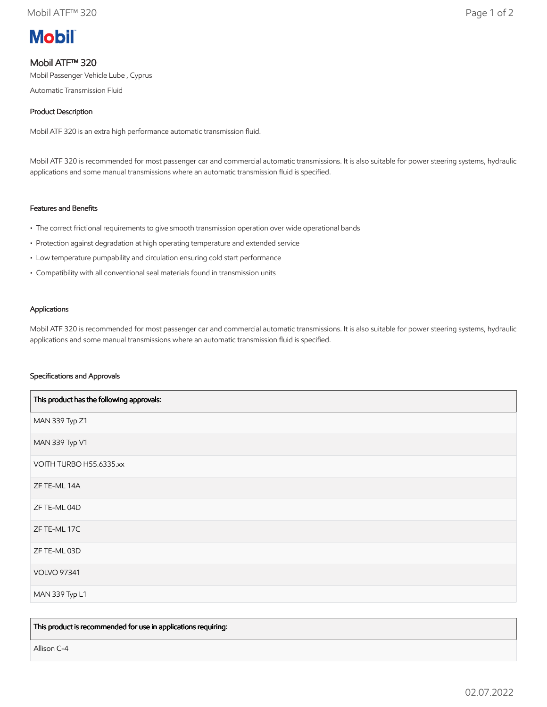# **Mobil**

# Mobil ATF™ 320

Mobil Passenger Vehicle Lube , Cyprus

Automatic Transmission Fluid

# Product Description

Mobil ATF 320 is an extra high performance automatic transmission fluid.

Mobil ATF 320 is recommended for most passenger car and commercial automatic transmissions. It is also suitable for power steering systems, hydraulic applications and some manual transmissions where an automatic transmission fluid is specified.

# Features and Benefits

- The correct frictional requirements to give smooth transmission operation over wide operational bands
- Protection against degradation at high operating temperature and extended service
- Low temperature pumpability and circulation ensuring cold start performance
- Compatibility with all conventional seal materials found in transmission units

#### Applications

Mobil ATF 320 is recommended for most passenger car and commercial automatic transmissions. It is also suitable for power steering systems, hydraulic applications and some manual transmissions where an automatic transmission fluid is specified.

#### Specifications and Approvals

| This product has the following approvals: |
|-------------------------------------------|
| MAN 339 Typ Z1                            |
| MAN 339 Typ V1                            |
| VOITH TURBO H55.6335.xx                   |
| ZF TE-ML 14A                              |
| ZF TE-ML 04D                              |
| ZF TE-ML 17C                              |
| ZF TE-ML 03D                              |
| <b>VOLVO 97341</b>                        |
| MAN 339 Typ L1                            |

This product is recommended for use in applications requiring:

Allison C-4